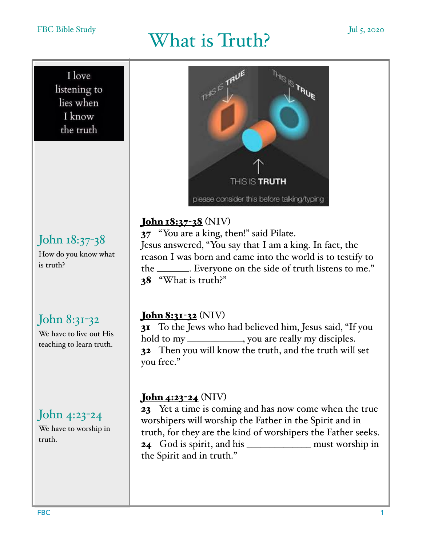#### FBC Bible Study

#### I love listening to lies when

I know the truth

## John 18:37-38

How do you know what is truth?

## John 8:31-32

We have to live out His teaching to learn truth.

## John 4:23-24

We have to worship in truth.



#### John 18:37-38 (NIV)

37 "You are a king, then!" said Pilate. Jesus answered, "You say that I am a king. In fact, the reason I was born and came into the world is to testify to the \_\_\_\_\_\_\_. Everyone on the side of truth listens to me." 38 "What is truth?"

#### John 8:31-32 (NIV)

31 To the Jews who had believed him, Jesus said, "If you hold to my \_\_\_\_\_\_\_\_\_\_\_\_, you are really my disciples. 32 Then you will know the truth, and the truth will set you free."

#### John 4:23-24 (NIV)

23 Yet a time is coming and has now come when the true worshipers will worship the Father in the Spirit and in truth, for they are the kind of worshipers the Father seeks. 24 God is spirit, and his \_\_\_\_\_\_\_\_\_\_\_\_\_\_ must worship in the Spirit and in truth."